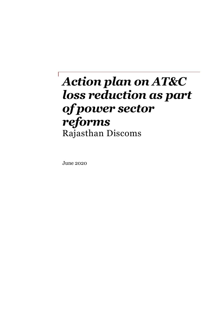# *Action plan on AT&C loss reduction as part of power sector reforms*  Rajasthan Discoms

June 2020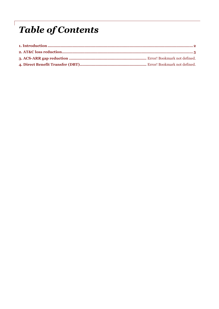# **Table of Contents**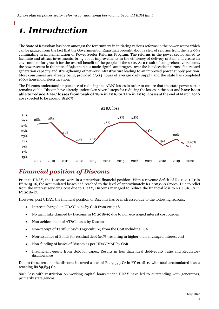## <span id="page-2-0"></span>*1. Introduction*

The State of Rajasthan has been amongst the forerunners in initiating various reforms in the power sector which can be gauged from the fact that the Government of Rajasthan brought about a slew of reforms from the late 90's culminating in implementation of Power Sector Reforms Program. The reforms in the power sector aimed to facilitate and attract investments, bring about improvements in the efficiency of delivery system and create an environment for growth for the overall benefit of the people of the state. As a result of comprehensive reforms, the power sector in the state of Rajasthan has made significant progress over the last decade in terms of increased generation capacity and strengthening of network infrastructure leading to an improved power supply position. Most consumers are already being provided 23-24 hours of average daily supply and the state has completed 100% household electrification.

The Discoms understand importance of reducing the AT&C losses in order to ensure that the state power sector remains viable. Discom have already undertaken several steps for reducing the losses in the past and **have been able to reduce AT&C losses from peak of 28% in 2016 to 22% in 2019**. Losses at the end of March 2020 are expected to be around 18.50%.



## *Financial position of Discoms*

Prior to UDAY, the Discoms were in a precarious financial position. With a revenue deficit of Rs 11,241 Cr in FY 2015-16, the accumulated losses had reached to the level of approximately Rs. 100,000 Crores. Due to relief from the interest servicing cost due to UDAY, Discoms managed to reduce the financial loss to Rs 4,816 Cr in FY 2016-17.

However, post UDAY, the financial position of Discoms has been stressed due to the following reasons:

- Interest charged on UDAY loans by GoR from 2017-18
- No tariff hike claimed by Discoms in FY 2018-19 due to non-envisaged interest cost burden
- Non-achievement of AT&C losses by Discoms
- Non-receipt of Tariff Subsidy (Agriculture) from the GoR including FSA
- Non-issuance of Bonds for residual debt (25%) resulting in higher than envisaged interest cost
- Non-funding of losses of Discom as per UDAY MoU by GoR
- Insufficient equity from GoR for capex; Results in less than ideal debt-equity ratio and Regulatory disallowance

Due to these reasons the discoms incurred a loss of Rs. 9,393 Cr in FY 2018-19 with total accumulated losses reaching Rs 89,854 Cr.

Such loss with restriction on working capital loans under UDAY have led to outstanding with generators, primarily state gencos.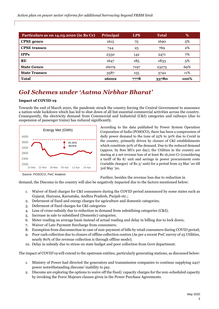| Particulars as on 14.05.2020 (in Rs Cr) | Principal | <b>LPS</b>      | <b>Total</b> | %    |
|-----------------------------------------|-----------|-----------------|--------------|------|
| <b>CPSE</b> genco                       | 1615      | 75              | 1690         | 5%   |
| <b>CPSE</b> transco                     | 744       | 25              | 769          | 2%   |
| <b>IPPs</b>                             | 2330      | 142             | 2471         | 7%   |
| <b>RE</b>                               | 1647      | 18 <sub>5</sub> | 1833         | 5%   |
| <b>State Genco</b>                      | 16079     | 7197            | 23275        | 69%  |
| <b>State Transco</b>                    | 3587      | 155             | 3742         | 11%  |
| <b>Total</b>                            | 26002     | 7778            | 33780        | 100% |

## *GoI Schemes under 'Aatma Nirbhar Bharat'*

#### **Impact of COVID-19**

Towards the end of March 2020, the pandemic struck the country forcing the Central Government to announce a nation-wide lockdown which has led to shut down of all but essential commercial activities across the country. Consequently, the electricity demand from Commercial and Industrial (C&I) categories and railways (due to suspension of passenger trains) has reduced significantly.



According to the data published by Power System Operation Corporation of India (POSOCO), there has been a compression of daily power demand to the tune of 25% to 30% due to Covid in the country, primarily driven by closure of C&I establishments which constitute 50% of the demand. Due to the reduced demand (approx. by 800 MUs per day), the Utilities in the country are staring at a net revenue loss of at least Rs 16,000 Cr (considering a tariff of Rs 8/ unit and savings in power procurement costs (variable charges) of Rs 3/ unit) for a period from 23 Mar '20 till 3rd May '20.

*Source: POSOCO, PwC Analysis*

Further, besides the revenue loss due to reduction in

demand, the Discoms in the country will also be negatively impacted due to the factors mentioned below:

- 1. Waiver of fixed charges for C&I consumers during the COVID period announced by some states such as Gujarat, Haryana, Karnataka, Andhra Pradesh, Punjab etc.;
- 2. Deferment of fixed and energy charges for agriculture and domestic categories;
- 3. Deferment of fixed charges for C&I categories
- 4. Loss of cross-subsidy due to reduction in demand from subsidising categories (C&I);
- 5. Increase in sale to subsidised (Domestic) categories;
- 6. Meter reading on average basis instead of actual reading and delay in billing due to lock down;
- 7. Waiver of Late Payment Surcharge from consumers;
- 8. Exemption from disconnection in case of non-payment of bills by retail consumers during COVID period;
- 9. Poor cash collection due to closure of offline collection centres (As per a recent PwC survey of 25 Utilities, nearly 80% of the revenue collection is through offline mode);
- 10. Delay in subsidy due to stress on state budget and poor collection from Govt department.

The impact of COVID'19 will extend to the upstream entities, particularly generating stations, as discussed below:

- 1. Ministry of Power had directed the generators and transmission companies to continue supplying 24x7 power notwithstanding discoms' inability to pay.
- 2. Discoms are exploring the options to waive off the fixed/ capacity charges for the non-scheduled capacity by invoking the Force Majeure clauses given in the Power Purchase Agreements.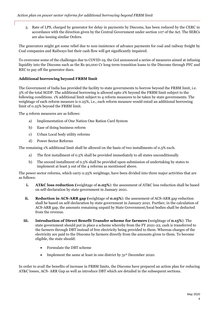3. Rate of LPS, charged by generator for delay in payments by Discoms, has been reduced by the CERC in accordance with the direction given by the Central Government under section 107 of the Act. The SERCs are also issuing similar Orders.

The generators might get some relief due to non-insistence of advance payments for coal and railway freight by Coal companies and Railways but their cash flow will get significantly impaired.

To overcome some of the challenges due to COVID-19, the GoI announced a series of measures aimed at infusing liquidity into the Discoms such as the Rs 90,000 Cr long-term transition loans to the Discoms through PFC and REC to pay off the generator dues.

#### **Additional borrowing beyond FRBM limit**

The Government of India has provided the facility to state governments to borrow beyond the FRBM limit, i.e. 3% of the total SGDP. The additional borrowing is allowed upto 2% beyond the FRBM limit subject to the following conditions. 1% additional limit subject to 4 reform measures to be taken by state governments. The weightage of each reform measure is 0.25%, i.e., each reform measure would entail an additional borrowing limit of 0.25% beyond the FRBM limit.

The 4 reform measures are as follows:

- a) Implementation of One Nation One Ration Card System
- b) Ease of doing business reform
- c) Urban Local body utility reforms
- d) Power Sector Reforms

The remaining 1% additional limit shall be allowed on the basis of two installments of 0.5% each.

- a) The first installment of 0.5% shall be provided immediately to all states unconditionally
- b) The second installment of 0.5% shall be provided upon submission of undertaking by states to implement at least 3 out of the 4 reforms as mentioned above.

The power sector reforms, which carry 0.25% weightage, have been divided into three major activities that are as follows:

- **i. AT&C loss reduction (**weightage of **0.05%**): the assessment of AT&C loss reduction shall be based on self-declaration by state government in January 2021.
- **ii. Reduction in ACS-ARR gap (**weightage of **0.05%**): the assessment of ACS-ARR gap reduction shall be based on self-declaration by state government in January 2021. Further, in the calculation of ACS-ARR gap, the amounts remaining unpaid by State Government/local bodies shall be deducted from the revenue.
- **iii. Introduction of Direct Benefit Transfer scheme for farmers (**weightage of **0.15%**): The state government should put in place a scheme whereby from the FY 2021-22, cash is transferred to the farmers through DBT instead of free electricity being provided to them. Whereas charges of the electricity are paid to the Discoms by farmers directly from the amounts given to them. To become eligible, the state should:
	- Formulate the DBT scheme
	- Implement the same at least in one district by 31<sup>st</sup> December 2020.

In order to avail the benefits of increase in FRBM limits, the Discoms have prepared an action plan for reducing AT&C losses, ACS- ARR Gap as well as introduce DBT which are detailed in the subsequent sections.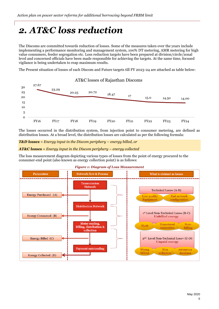## <span id="page-5-0"></span>*2. AT&C loss reduction*

The Discoms are committed towards reduction of losses. Some of the measures taken over the years include implementing a performance monitoring and management system, 100% DT metering, AMR metering for high value consumers, feeder segregation etc. Loss reduction targets have been prepared at division/circle/zonal level and concerned officials have been made responsible for achieving the targets. At the same time, focused vigilance is being undertaken to reap maximum results.

The Present situation of losses of each Discom and Future targets till FY 2023-24 are attached as table below:



The losses occurred in the distribution system, from injection point to consumer metering, are defined as distribution losses. At a broad level, the distribution losses are calculated as per the following formula:

*T&D losses* = *Energy input in the Discom periphery – energy billed, or* 

*AT&C losses = Energy input in the Discom periphery – energy collected*

The loss measurement diagram depicting various types of losses from the point of energy procured to the consumer-end point (also known as energy collection point) is as follows:



#### *Figure 1: Diagram of Loss Measurement*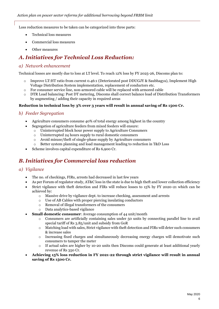Loss reduction measures to be taken can be categorized into three parts:

- Technical loss measures
- Commercial loss measures
- Other measures

### *A. Initiatives for Technical Loss Reduction:*

#### *a) Network enhancement*

Technical losses are mostly due to loss at LT level. To reach 12% loss by FY 2025-26, Discoms plan to:

- o Improve LT:HT ratio from current 0.46:1 (Deteriorated post DDUGJY & Saubhagya), Implement High Voltage Distribution System implementation, replacement of conductors etc.
- o For consumer service line, non-armored cable will be replaced with armored cable
- o DTR Load balancing: Post DT metering, Discoms shall correct balance load of Distribution Transformers by augmenting / adding their capacity in required areas

#### **Reduction in technical loss by 3% over 3 years will result in annual saving of Rs 1500 Cr.**

#### *b) Feeder Segregation*

- Agriculture consumers consume 40% of total energy among highest in the country
	- Segregation of agriculture feeders from mixed feeders will ensure:
		- o Uninterrupted block hour power supply to Agriculture Consumers
		- o Uninterrupted 24 hours supply to rural domestic consumers
		- o Avoid misuse/theft of single-phase supply by Agriculture consumers
		- o Better system planning and load management leading to reduction in T&D Loss
- Scheme involves capital expenditure of Rs 6,900 Cr.

### *B. Initiatives for Commercial loss reduction*

#### *a) Vigilance*

- The no. of checkings, FIRs, arrests had decreased in last few years
- As per Forum of regulator study, AT&C loss in the state is due to high theft and lower collection efficiency
- Strict vigilance with theft detection and FIRs will reduce losses to 15% by FY 2020-21 which can be achieved by:
	- $\circ$  Massive drive by vigilance dept. to increase checking, assessment and arrests
	- o Use of AB Cables with proper piercing insulating conductors
	- o Removal of illegal transformers of the consumers
	- o Data analytics-based vigilance
- **Small domestic consumer:** Average consumption of 44 unit/month
	- o Consumers are artificially containing sales under 50 units by connecting parallel line to avail special tariff of Rs 3.85/unit and subsidy from GoR
	- o Matching load with sales, Strict vigilance with theft detection and FIRs will deter such consumers & increase sales
	- o Increasing fixed charges and simultaneously decreasing energy charges will demotivate such consumers to tamper the meter
	- o If actual sales are higher by 10-20 units then Discoms could generate at least additional yearly revenue of Rs 350 Cr.
- **Achieving 15% loss reduction in FY 2021-22 through strict vigilance will result in annual saving of Rs 1500 Cr.**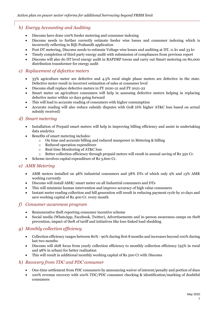#### *b) Energy Accounting and Auditing*

- Discoms have done 100% feeder metering and consumer indexing
- Discoms needs to further correctly estimate feeder wise losses and consumer indexing which is incorrectly reflecting in Bijli Prabandh application
- Post DT metering, Discoms needs to estimate Voltage wise losses and auditing at DT, 11 kv and 33 kv
- Timely completion of third party energy audit with submission of compliances from previous report
- Discoms will also do DT level energy audit in RAPDRP towns and carry out Smart metering on 80,000 distribution transformer for energy audit

#### *c) Replacement of defective meters*

- 33% agriculture meter are defective and 4.5% rural single phase meters are defective in the state. Defective meter result in incorrect estimation of sales at consumer level
- Discoms shall replace defective meters in FY 2020-21 and FY 2021-22
- Smart meter on agriculture consumers will help in assessing defective meters helping in replacing defective meter within 10 days going forward
- This will lead to accurate reading of consumers with higher consumption
- Accurate reading will also reduce subsidy disputes with GoR (6% higher AT&C loss based on actual subsidy received)

#### *d) Smart metering*

- Installation of Prepaid smart meters will help in improving billing efficiency and assist in undertaking data analytics
- Benefits of smart metering includes:
	- o On time and accurate billing and reduced manpower in Metering & billing
	- o Reduced operation expenditure
	- o Real time Monitoring of AT&C loss
	- o Better collection efficiency through prepaid meters will result in annual saving of Rs 350 Cr.
- Scheme involves capital expenditure of Rs 3,600 Cr.

#### *e) AMR Metering*

- AMR meters installed on 48% industrial consumers and 58% DTs of which only 9% and 13% AMR working currently
- Discoms will install AMR/ smart meter on all Industrial consumers and DTs
- This will minimize human intervention and improve accuracy of high value consumers
- Instant meter reading collection and bill generation will result in reducing payment cycle by 10 days and save working capital of Rs 400 Cr. every month

#### *f) Consumer awareness program*

- Remunerative theft reporting consumer incentive scheme
- Social media (WhatsApp, Facebook, Twitter), Advertisements and in-person awareness camps on theft prevention, impact of theft of tariff and initiatives like loss-linked load shedding

#### *g) Monthly collection efficiency*

- Collection efficiency ranges between 80% 90% during first 8 months and increases beyond 100% during last two months
- Discoms will shift focus from yearly collection efficiency to monthly collection efficiency (95% in rural and 98% in urban) for better realization
- This will result in additional monthly working capital of Rs 500 Cr with Discoms

#### *h) Recovery from TDC and PDC consumer*

- One-time settlement from PDC consumers by announcing waiver of interest/penalty and portion of dues
- 100% revenue recovery with 100% TDC/PDC consumer checking & identification/marking of doubtful consumers